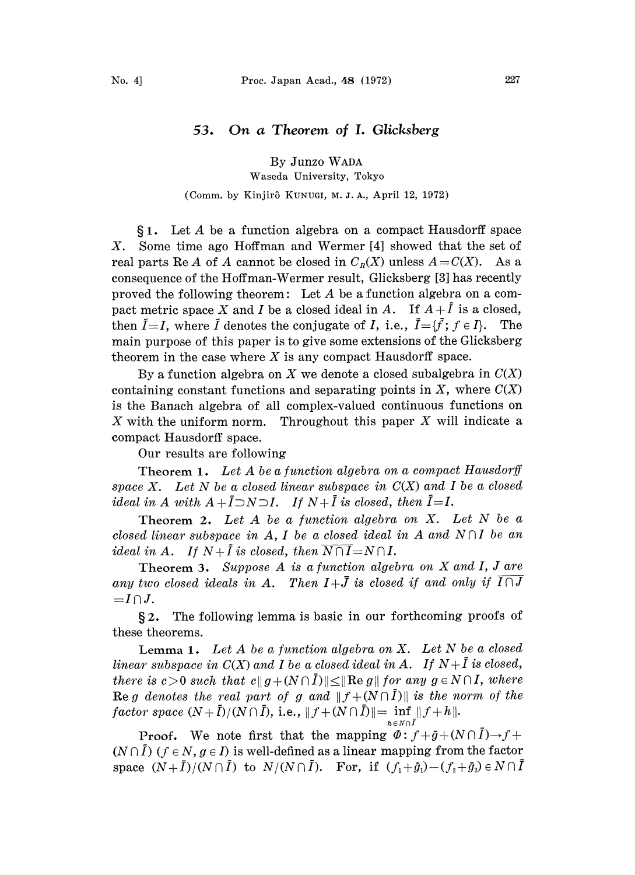# 53. On a Theorem of I. Glicksberg

By Junzo WADA

Waseda University, Tokyo

## (Comm. by Kinjirô KUNUGI, M. J. A., April 12, 1972)

1. Let A be <sup>a</sup> function algebra on <sup>a</sup> compact Hausdorff space  $X$ . Some time ago Hoffman and Wermer [4] showed that the set of real parts Re A of A cannot be closed in  $C_R(X)$  unless  $A=C(X)$ . As a consequence of the Hoffman-Wermer result, Glicksberg [3] has recently proved the following theorem: Let A be a function algebra on a compact metric space X and I be a closed ideal in A. If  $A + \overline{I}$  is a closed, then  $I=I$ , where  $\overline{I}$  denotes the conjugate of I, i.e.,  $\overline{I}={f}$ ;  $f \in I$ . The main purpose of this paper is to give some extensions of the Glicksberg theorem in the case where  $X$  is any compact Hausdorff space.

By a function algebra on X we denote a closed subalgebra in  $C(X)$ containing constant functions and separating points in  $X$ , where  $C(X)$ is the Banach algebra of all complex-valued continuous functions on X with the uniform norm. Throughout this paper  $X$  will indicate a compact Hausdorff space.

Our results are following

Theorem 1. Let A be a function algebra on a compact Hausdorff space X. Let N be a closed linear subspace in  $C(X)$  and I be a closed ideal in A with  $A + \overline{I} \supset N \supset I$ . If  $N + \overline{I}$  is closed, then  $\overline{I} = I$ .

Theorem 2. Let  $A$  be a function algebra on  $X$ . Let  $N$  be a closed linear subspace in A, I be a closed ideal in A and  $N \cap I$  be an ideal in A. If  $N+\overline{I}$  is closed, then  $\overline{N\cap I}=N\cap I$ .

Theorem 3. Suppose A is <sup>a</sup> function algebra on X and I, <sup>J</sup> are any two closed ideals in A. Then  $I+\bar{J}$  is closed if and only if  $\overline{I\cap J}$  $=I\cap J$ .

 $§$ 2. The following lemma is basic in our forthcoming proofs of these theorems.

**Lemma 1.** Let  $A$  be a function algebra on  $X$ . Let  $N$  be a closed linear subspace in  $C(X)$  and I be a closed ideal in A. If  $N+\overline{I}$  is closed, there is  $c > 0$  such that  $c || g + (N \cap \overline{I}) || \le || \text{Re } g ||$  for any  $g \in N \cap I$ , where there is  $c > 0$  such that  $c||g + (N \cap \overline{I})|| \le ||\text{Re } g||$  for any  $g \in N \cap I$ , where<br> **Re** g denotes the real part of g and  $||f + (N \cap \overline{I})||$  is the norm of the<br>
factor space  $(N + \overline{I})/(N \cap \overline{I})$ , i.e.,  $||f + (N \cap \overline{I})|| = \inf_{h \in N \cap$ **Re** g denotes the real part of g and  $|| f + (N \cap I) ||$  is the norm of the

**Proof.** We note first that the mapping  $\Phi: f + \bar{g} + (N \cap I) \rightarrow f +$  $(N \cap \overline{I})$  ( $f \in N$ ,  $g \in I$ ) is well-defined as a linear mapping from the factor space  $(N+\overline{I})/(N\cap \overline{I})$  to  $N/(N\cap \overline{I})$ . For, if  $(f_1+\overline{g}_1)-(f_2+\overline{g}_2)\in N\cap I$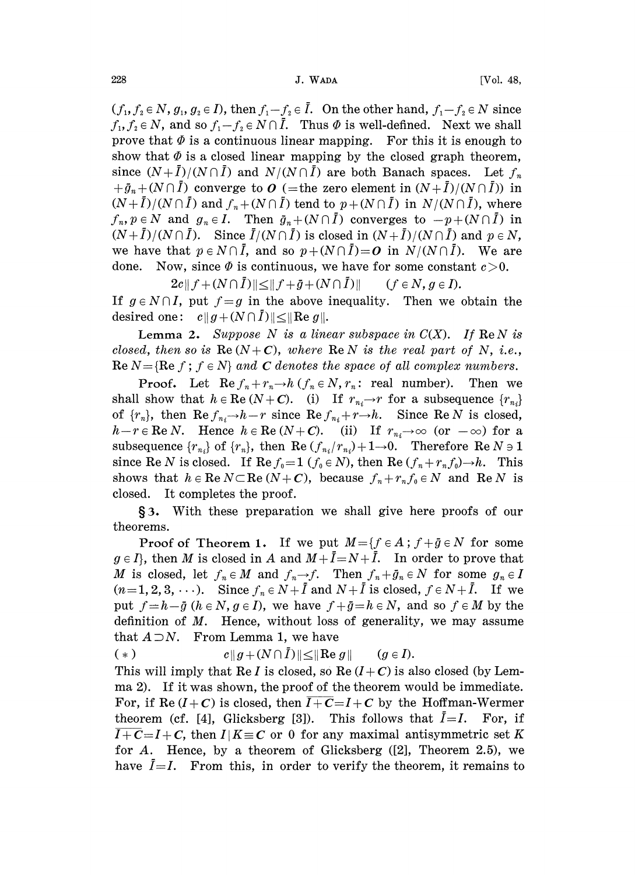$(f_1, f_2 \in N, g_1, g_2 \in I)$ , then  $f_1-f_2 \in \overline{I}$ . On the other hand,  $f_1-f_2 \in N$  since  $f_1, f_2 \in N$ , and so  $f_1 - f_2 \in N \cap \overline{I}$ . Thus  $\Phi$  is well-defined. Next we shall prove that  $\Phi$  is a continuous linear mapping. For this it is enough to show that  $\Phi$  is a closed linear mapping by the closed graph theorem, since  $(N+\overline{I})/(N\cap \overline{I})$  and  $N/(N\cap \overline{I})$  are both Banach spaces. Let  $f_n$  $+ \bar{g}_n + (N \cap \bar{I})$  converge to O (= the zero element in  $(N + \bar{I}) / (N \cap \bar{I})$ ) in  $(N+\overline{I})/(N\cap \overline{I})$  and  $f_n+(N\cap \overline{I})$  tend to  $p+(N\cap \overline{I})$  in  $N/(N\cap \overline{I})$ , where  $f_n, p \in N$  and  $g_n \in I$ . Then  $\bar{g}_n+(N \cap \bar{I})$  converges to  $-p+(N \cap \bar{I})$  in  $(N+\overline{I})/(N\cap \overline{I})$ . Since  $\overline{I}/(N\cap \overline{I})$  is closed in  $(N+\overline{I})/(N\cap \overline{I})$  and  $p \in N$ , we have that  $p \in N \cap \overline{I}$ , and so  $p+(N \cap \overline{I})=O$  in  $N/(N \cap \overline{I})$ . We are done. Now, since  $\Phi$  is continuous, we have for some constant  $c > 0$ .

 $2c|| f + (N \cap \overline{I}) || \le || f + \overline{g} + (N \cap \overline{I}) ||$  (f  $\in N, g \in I$ ). If  $g \in N \cap I$ , put  $f = g$  in the above inequality. Then we obtain the desired one:  $c||g+(N \cap I)|| \leq ||Re g||$ .

Lemma 2. Suppose N is a linear subspace in  $C(X)$ . If  $\text{Re } N$  is closed, then so is  $\text{Re}(N+C)$ , where  $\text{Re} N$  is the real part of N, i.e., Re  $N = {Re f; f \in N}$  and C denotes the space of all complex numbers.

**Proof.** Let  $\text{Re } f_n + r_n \to h \ (f_n \in N, r_n: \text{ real number}).$  Then we shall show that  $h \in \text{Re}(N+C)$ . (i) If  $r_{n_i} \rightarrow r$  for a subsequence  $\{r_{n_i}\}$ of  $\{r_n\}$ , then  $\text{Re } f_{n_i} \rightarrow h-r$  since  $\text{Re } f_{n_i} + r \rightarrow h$ . Since  $\text{Re } N$  is closed,  $h-r \in \text{Re } N$ . Hence  $h \in \text{Re}(N+C)$ . (ii) If  $r_{n_i} \to \infty$  (or  $-\infty$ ) for a subsequence  ${r_{n_i}}$  of  ${r_n}$ , then Re  $(f_{n_i}/r_{n_i})+1\rightarrow 0$ . Therefore Re  $N \ni 1$ since Re N is closed. If Re  $f_0 = 1$  ( $f_0 \in N$ ), then Re  $(f_n + r_n f_0) \rightarrow h$ . This shows that  $h \in \text{Re } N \subset \text{Re}(N+C)$ , because  $f_n+r_nf_0 \in N$  and  $\text{Re } N$  is closed. It completes the proof.

**§3.** With these preparation we shall give here proofs of our theorems.

**Proof of Theorem 1.** If we put  $M = \{f \in A : f + \bar{g} \in N \text{ for some }$  $g \in I$ , then M is closed in A and  $M + \overline{I} = N + \overline{I}$ . In order to prove that M is closed, let  $f_n \in M$  and  $f_n \to f$ . Then  $f_n + \bar{g}_n \in N$  for some  $g_n \in I$  $(n=1,2,3,\ldots)$ . Since  $f_n \in N+\overline{I}$  and  $N+\overline{I}$  is closed,  $f \in N+\overline{I}$ . If we put  $f=h-\bar{g}$   $(h\in N, g\in I)$ , we have  $f+\bar{g}=h\in N$ , and so  $f\in M$  by the definition of  $M$ . Hence, without loss of generality, we may assume that  $A \supset N$ . From Lemma 1, we have

(\*)  $c \|g + (N \cap \overline{I})\| \leq \|Re \, g\| \qquad (g \in I).$ 

This will imply that Re I is closed, so Re  $(I + C)$  is also closed (by Lemma 2). If it was shown, the proof of the theorem would be immediate. For, if Re  $(I + C)$  is closed, then  $\overline{I + C} = I + C$  by the Hoffman-Wermer theorem (cf. [4], Glicksberg [3]). This follows that  $\overline{I} = I$ . For, if  $\overline{I+C}=I+C$ , then  $I/K\equiv C$  or 0 for any maximal antisymmetric set K for A. Hence, by a theorem of Glicksberg  $([2]$ , Theorem 2.5), we have  $\overline{I}=I$ . From this, in order to verify the theorem, it remains to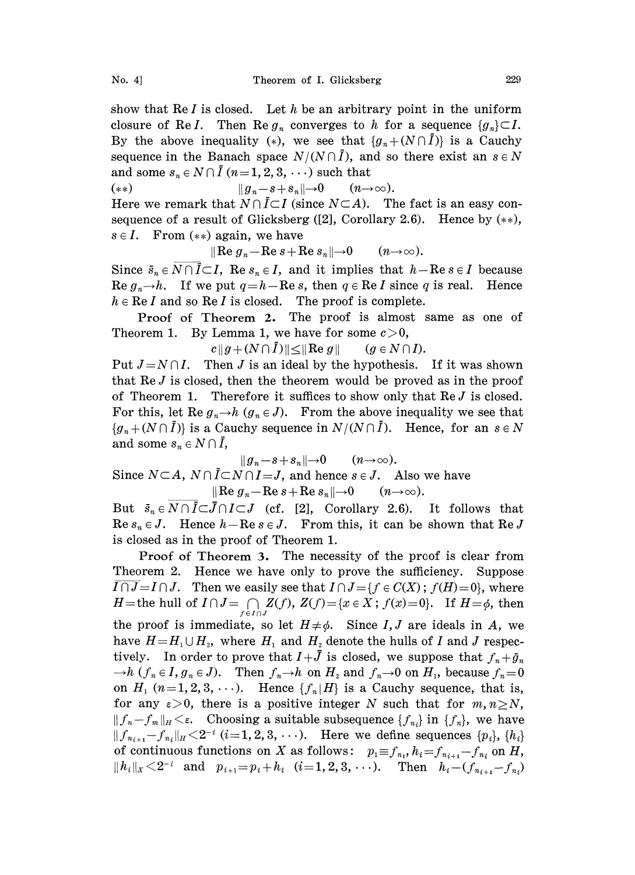show that  $\text{Re } I$  is closed. Let h be an arbitrary point in the uniform closure of ReI. Then Re  $g_n$  converges to h for a sequence  $\{g_n\} \subset I$ . By the above inequality (\*), we see that  ${g_n+(N\cap \overline{I})}$  is a Cauchy sequence in the Banach space  $N/(N\cap I)$ , and so there exist an  $s \in N$ and some  $s_n \in N \cap \overline{I}$   $(n=1, 2, 3, \dots)$  such that

(\*\*)  $||g_n-s+s_n||\rightarrow 0 \quad (n\rightarrow\infty).$ 

Here we remark that  $N \cap \overline{I} \subset I$  (since  $N \subset A$ ). The fact is an easy consequence of a result of Glicksberg ([2], Corollary 2.6). Hence by  $(**)$ ,  $s \in I$ . From  $(**)$  again, we have

 $\|\operatorname{Re} g_n - \operatorname{Re} s + \operatorname{Re} s_n\| \to 0 \qquad (n \to \infty).$ 

Since  $\bar{s}_n \in N \cap \bar{I} \subset I$ , Re  $s_n \in I$ , and it implies that  $h - \text{Re } s \in I$  because Re  $g_n \rightarrow h$ . If we put  $q=h-Re s$ , then  $q \in \text{Re } I$  since q is real. Hence  $h \in \text{Re } I$  and so  $\text{Re } I$  is closed. The proof is complete.

Proof of Theorem 2. The proof is almost same as one of Theorem 1. By Lemma 1, we have for some  $c>0$ ,

 $c \|g + (N \cap \overline{I})\| \leq \|Re g\|$   $(g \in N \cap I).$ 

Put  $J=N\cap I$ . Then J is an ideal by the hypothesis. If it was shown that Re J is closed, then the theorem would be proved as in the proof of Theorem 1. Therefore it suffices to show only that  $\text{Re } J$  is closed. For this, let Re  $g_n \rightarrow h$   $(g_n \in J)$ . From the above inequality we see that  ${g_n+(N \cap \overline{I})}$  is a Cauchy sequence in  $N/(N \cap \overline{I})$ . Hence, for an  $s \in N$ and some  $s_n \in N \cap \overline{I}$ ,

 $||g_n-s+s_n||\rightarrow 0$   $(n\rightarrow\infty).$ Since  $N \subset A$ ,  $N \cap \overline{I} \subset N \cap I = J$ , and hence  $s \in J$ . Also we have  $\|\operatorname{Re} g_n-\operatorname{Re} s+\operatorname{Re} s_n\|\to 0 \qquad (n\to\infty).$ 

But  $\bar{s}_n \in N \cap \bar{I} \subset \bar{J} \cap I \subset J$  (cf. [2], Corollary 2.6). It follows that Re  $s_n \in J$ . Hence  $h - \text{Re } s \in J$ . From this, it can be shown that Re J is closed as in the proof of Theorem 1.

Proof of Theorem 3. The necessity of the proof is clear from Theorem 2. Hence we have only to prove the sufficiency. Suppose  $I \cap J = I \cap J$ . Then we easily see that  $I \cap J = \{f \in C(X) ; f(H)=0\}$ , where H=the hull of  $I \cap J = \bigcap_{f \in I \cap J} Z(f)$ ,  $Z(f) = \{x \in X : f(x) = 0\}$ . If  $H = \phi$ , then the proof is immediate, so let  $H\neq\phi$ . Since I, J are ideals in A, we have  $H=H_1\cup H_2$ , where  $H_1$  and  $H_2$  denote the hulls of I and J respectively. In order to prove that  $I+\bar{J}$  is closed, we suppose that  $f_n+\bar{g}_n$  $-h$   $(f_n \in I, g_n \in J)$ . Then  $f_n \to h$  on  $H_2$  and  $f_n \to 0$  on  $H_1$ , because  $f_n = 0$ on  $H_1$   $(n=1, 2, 3, \ldots)$ . Hence  $\{f_n | H\}$  is a Cauchy sequence, that is, for any  $\varepsilon>0$ , there is a positive integer N such that for  $m, n\geq N$ ,  $|| f_n - f_m ||_H < \varepsilon$ . Choosing a suitable subsequence  $\{f_n\}$  in  $\{f_n\}$ , we have  $||f_{n_{i+1}}-f_{n_i}||_H\leq 2^{-i}$   $(i=1, 2, 3, \ldots)$ . Here we define sequences  $\{p_i\}, \{h_i\}$ of continuous functions on X as follows:  $p_1 \equiv f_{n_1}, h_i = f_{n_{i+1}} - f_{n_i}$  on H,  $||h_i||_X \leq 2^{-i}$  and  $p_{i+1} = p_i + h_i$  (*i*=1, 2, 3, ...). Then  $h_i - (f_{n_{i+1}} - f_{n_i})$